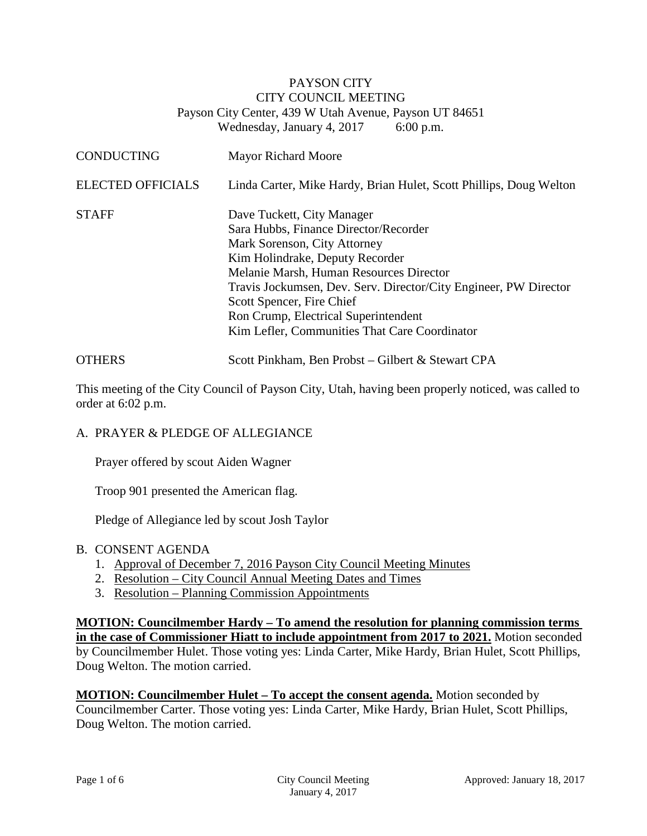### PAYSON CITY CITY COUNCIL MEETING Payson City Center, 439 W Utah Avenue, Payson UT 84651 Wednesday, January 4, 2017 6:00 p.m.

| <b>CONDUCTING</b>        | <b>Mayor Richard Moore</b>                                                                                                                                                                                                                                                                                                                                                  |
|--------------------------|-----------------------------------------------------------------------------------------------------------------------------------------------------------------------------------------------------------------------------------------------------------------------------------------------------------------------------------------------------------------------------|
| <b>ELECTED OFFICIALS</b> | Linda Carter, Mike Hardy, Brian Hulet, Scott Phillips, Doug Welton                                                                                                                                                                                                                                                                                                          |
| <b>STAFF</b>             | Dave Tuckett, City Manager<br>Sara Hubbs, Finance Director/Recorder<br>Mark Sorenson, City Attorney<br>Kim Holindrake, Deputy Recorder<br>Melanie Marsh, Human Resources Director<br>Travis Jockumsen, Dev. Serv. Director/City Engineer, PW Director<br>Scott Spencer, Fire Chief<br>Ron Crump, Electrical Superintendent<br>Kim Lefler, Communities That Care Coordinator |
| <b>OTHERS</b>            | Scott Pinkham, Ben Probst – Gilbert & Stewart CPA                                                                                                                                                                                                                                                                                                                           |

This meeting of the City Council of Payson City, Utah, having been properly noticed, was called to order at 6:02 p.m.

#### A. PRAYER & PLEDGE OF ALLEGIANCE

Prayer offered by scout Aiden Wagner

Troop 901 presented the American flag.

Pledge of Allegiance led by scout Josh Taylor

#### B. CONSENT AGENDA

- 1. Approval of December 7, 2016 Payson City Council Meeting Minutes
- 2. Resolution City Council Annual Meeting Dates and Times
- 3. Resolution Planning Commission Appointments

**MOTION: Councilmember Hardy – To amend the resolution for planning commission terms in the case of Commissioner Hiatt to include appointment from 2017 to 2021.** Motion seconded by Councilmember Hulet. Those voting yes: Linda Carter, Mike Hardy, Brian Hulet, Scott Phillips, Doug Welton. The motion carried.

**MOTION: Councilmember Hulet – To accept the consent agenda.** Motion seconded by Councilmember Carter. Those voting yes: Linda Carter, Mike Hardy, Brian Hulet, Scott Phillips, Doug Welton. The motion carried.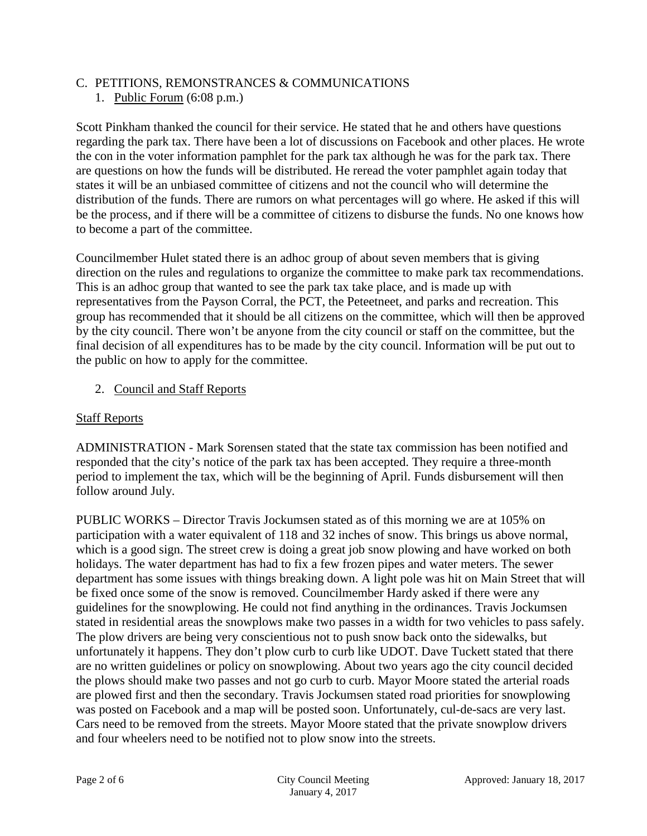## C. PETITIONS, REMONSTRANCES & COMMUNICATIONS

## 1. Public Forum (6:08 p.m.)

Scott Pinkham thanked the council for their service. He stated that he and others have questions regarding the park tax. There have been a lot of discussions on Facebook and other places. He wrote the con in the voter information pamphlet for the park tax although he was for the park tax. There are questions on how the funds will be distributed. He reread the voter pamphlet again today that states it will be an unbiased committee of citizens and not the council who will determine the distribution of the funds. There are rumors on what percentages will go where. He asked if this will be the process, and if there will be a committee of citizens to disburse the funds. No one knows how to become a part of the committee.

Councilmember Hulet stated there is an adhoc group of about seven members that is giving direction on the rules and regulations to organize the committee to make park tax recommendations. This is an adhoc group that wanted to see the park tax take place, and is made up with representatives from the Payson Corral, the PCT, the Peteetneet, and parks and recreation. This group has recommended that it should be all citizens on the committee, which will then be approved by the city council. There won't be anyone from the city council or staff on the committee, but the final decision of all expenditures has to be made by the city council. Information will be put out to the public on how to apply for the committee.

## 2. Council and Staff Reports

## Staff Reports

ADMINISTRATION - Mark Sorensen stated that the state tax commission has been notified and responded that the city's notice of the park tax has been accepted. They require a three-month period to implement the tax, which will be the beginning of April. Funds disbursement will then follow around July.

PUBLIC WORKS – Director Travis Jockumsen stated as of this morning we are at 105% on participation with a water equivalent of 118 and 32 inches of snow. This brings us above normal, which is a good sign. The street crew is doing a great job snow plowing and have worked on both holidays. The water department has had to fix a few frozen pipes and water meters. The sewer department has some issues with things breaking down. A light pole was hit on Main Street that will be fixed once some of the snow is removed. Councilmember Hardy asked if there were any guidelines for the snowplowing. He could not find anything in the ordinances. Travis Jockumsen stated in residential areas the snowplows make two passes in a width for two vehicles to pass safely. The plow drivers are being very conscientious not to push snow back onto the sidewalks, but unfortunately it happens. They don't plow curb to curb like UDOT. Dave Tuckett stated that there are no written guidelines or policy on snowplowing. About two years ago the city council decided the plows should make two passes and not go curb to curb. Mayor Moore stated the arterial roads are plowed first and then the secondary. Travis Jockumsen stated road priorities for snowplowing was posted on Facebook and a map will be posted soon. Unfortunately, cul-de-sacs are very last. Cars need to be removed from the streets. Mayor Moore stated that the private snowplow drivers and four wheelers need to be notified not to plow snow into the streets.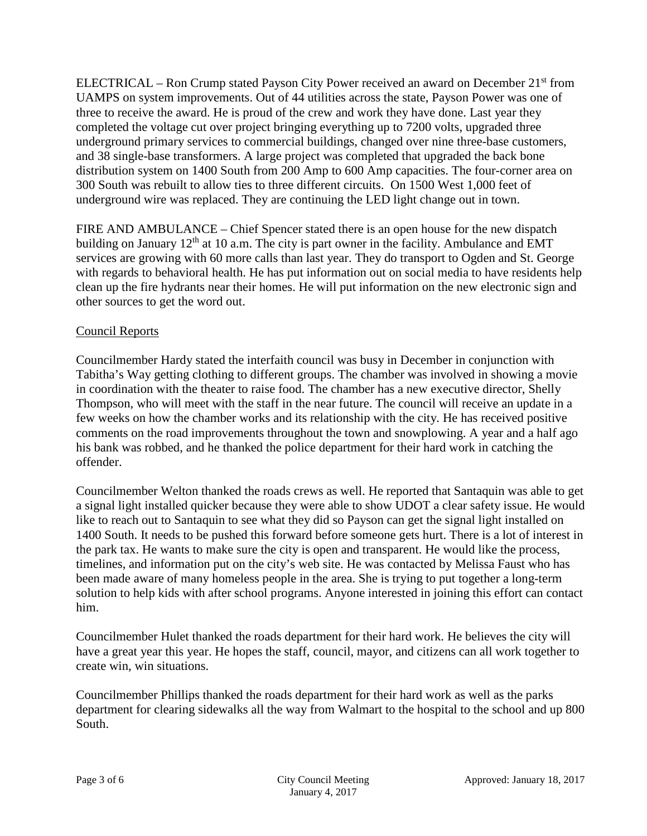ELECTRICAL – Ron Crump stated Payson City Power received an award on December 21st from UAMPS on system improvements. Out of 44 utilities across the state, Payson Power was one of three to receive the award. He is proud of the crew and work they have done. Last year they completed the voltage cut over project bringing everything up to 7200 volts, upgraded three underground primary services to commercial buildings, changed over nine three-base customers, and 38 single-base transformers. A large project was completed that upgraded the back bone distribution system on 1400 South from 200 Amp to 600 Amp capacities. The four-corner area on 300 South was rebuilt to allow ties to three different circuits. On 1500 West 1,000 feet of underground wire was replaced. They are continuing the LED light change out in town.

FIRE AND AMBULANCE – Chief Spencer stated there is an open house for the new dispatch building on January  $12<sup>th</sup>$  at 10 a.m. The city is part owner in the facility. Ambulance and EMT services are growing with 60 more calls than last year. They do transport to Ogden and St. George with regards to behavioral health. He has put information out on social media to have residents help clean up the fire hydrants near their homes. He will put information on the new electronic sign and other sources to get the word out.

# Council Reports

Councilmember Hardy stated the interfaith council was busy in December in conjunction with Tabitha's Way getting clothing to different groups. The chamber was involved in showing a movie in coordination with the theater to raise food. The chamber has a new executive director, Shelly Thompson, who will meet with the staff in the near future. The council will receive an update in a few weeks on how the chamber works and its relationship with the city. He has received positive comments on the road improvements throughout the town and snowplowing. A year and a half ago his bank was robbed, and he thanked the police department for their hard work in catching the offender.

Councilmember Welton thanked the roads crews as well. He reported that Santaquin was able to get a signal light installed quicker because they were able to show UDOT a clear safety issue. He would like to reach out to Santaquin to see what they did so Payson can get the signal light installed on 1400 South. It needs to be pushed this forward before someone gets hurt. There is a lot of interest in the park tax. He wants to make sure the city is open and transparent. He would like the process, timelines, and information put on the city's web site. He was contacted by Melissa Faust who has been made aware of many homeless people in the area. She is trying to put together a long-term solution to help kids with after school programs. Anyone interested in joining this effort can contact him.

Councilmember Hulet thanked the roads department for their hard work. He believes the city will have a great year this year. He hopes the staff, council, mayor, and citizens can all work together to create win, win situations.

Councilmember Phillips thanked the roads department for their hard work as well as the parks department for clearing sidewalks all the way from Walmart to the hospital to the school and up 800 South.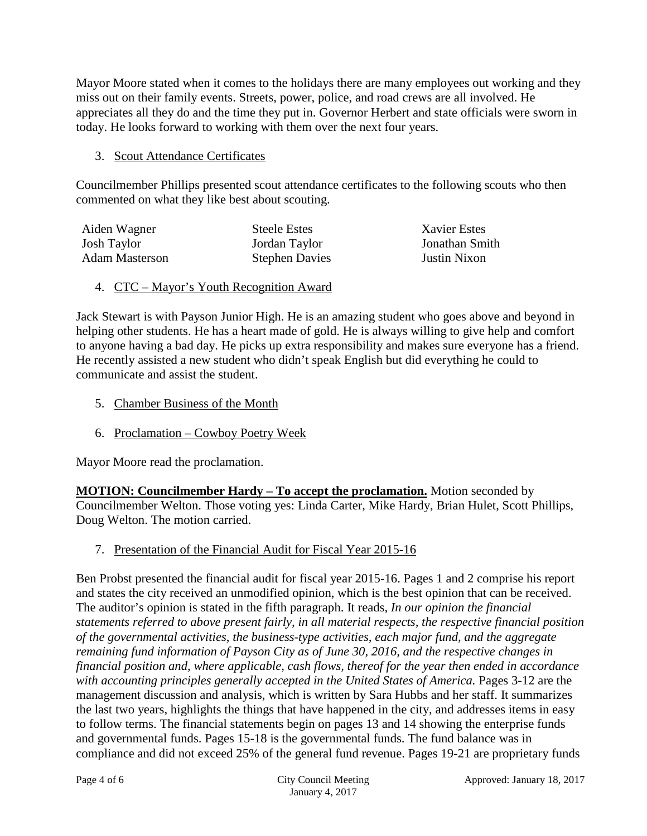Mayor Moore stated when it comes to the holidays there are many employees out working and they miss out on their family events. Streets, power, police, and road crews are all involved. He appreciates all they do and the time they put in. Governor Herbert and state officials were sworn in today. He looks forward to working with them over the next four years.

## 3. Scout Attendance Certificates

Councilmember Phillips presented scout attendance certificates to the following scouts who then commented on what they like best about scouting.

> **Xavier Estes** Jonathan Smith **Justin Nixon**

| Aiden Wagner          | <b>Steele Estes</b>   |
|-----------------------|-----------------------|
| <b>Josh Taylor</b>    | Jordan Taylor         |
| <b>Adam Masterson</b> | <b>Stephen Davies</b> |

4. CTC – Mayor's Youth Recognition Award

Jack Stewart is with Payson Junior High. He is an amazing student who goes above and beyond in helping other students. He has a heart made of gold. He is always willing to give help and comfort to anyone having a bad day. He picks up extra responsibility and makes sure everyone has a friend. He recently assisted a new student who didn't speak English but did everything he could to communicate and assist the student.

- 5. Chamber Business of the Month
- 6. Proclamation Cowboy Poetry Week

Mayor Moore read the proclamation.

**MOTION: Councilmember Hardy – To accept the proclamation.** Motion seconded by Councilmember Welton. Those voting yes: Linda Carter, Mike Hardy, Brian Hulet, Scott Phillips, Doug Welton. The motion carried.

7. Presentation of the Financial Audit for Fiscal Year 2015-16

Ben Probst presented the financial audit for fiscal year 2015-16. Pages 1 and 2 comprise his report and states the city received an unmodified opinion, which is the best opinion that can be received. The auditor's opinion is stated in the fifth paragraph. It reads, *In our opinion the financial statements referred to above present fairly, in all material respects, the respective financial position of the governmental activities, the business-type activities, each major fund, and the aggregate remaining fund information of Payson City as of June 30, 2016, and the respective changes in financial position and, where applicable, cash flows, thereof for the year then ended in accordance with accounting principles generally accepted in the United States of America.* Pages 3-12 are the management discussion and analysis, which is written by Sara Hubbs and her staff. It summarizes the last two years, highlights the things that have happened in the city, and addresses items in easy to follow terms. The financial statements begin on pages 13 and 14 showing the enterprise funds and governmental funds. Pages 15-18 is the governmental funds. The fund balance was in compliance and did not exceed 25% of the general fund revenue. Pages 19-21 are proprietary funds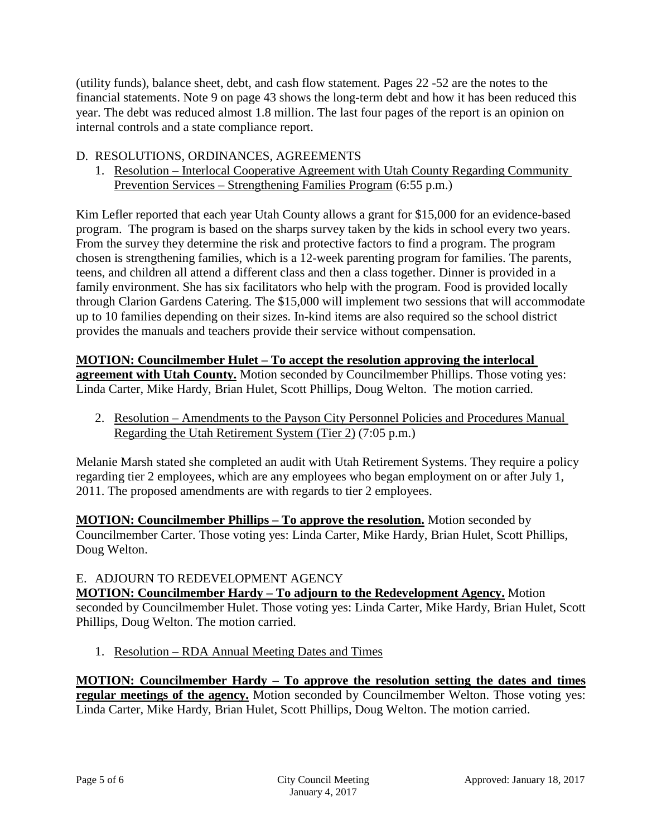(utility funds), balance sheet, debt, and cash flow statement. Pages 22 -52 are the notes to the financial statements. Note 9 on page 43 shows the long-term debt and how it has been reduced this year. The debt was reduced almost 1.8 million. The last four pages of the report is an opinion on internal controls and a state compliance report.

# D. RESOLUTIONS, ORDINANCES, AGREEMENTS

1. Resolution – Interlocal Cooperative Agreement with Utah County Regarding Community Prevention Services – Strengthening Families Program (6:55 p.m.)

Kim Lefler reported that each year Utah County allows a grant for \$15,000 for an evidence-based program. The program is based on the sharps survey taken by the kids in school every two years. From the survey they determine the risk and protective factors to find a program. The program chosen is strengthening families, which is a 12-week parenting program for families. The parents, teens, and children all attend a different class and then a class together. Dinner is provided in a family environment. She has six facilitators who help with the program. Food is provided locally through Clarion Gardens Catering. The \$15,000 will implement two sessions that will accommodate up to 10 families depending on their sizes. In-kind items are also required so the school district provides the manuals and teachers provide their service without compensation.

### **MOTION: Councilmember Hulet – To accept the resolution approving the interlocal**

**agreement with Utah County.** Motion seconded by Councilmember Phillips. Those voting yes: Linda Carter, Mike Hardy, Brian Hulet, Scott Phillips, Doug Welton. The motion carried.

2. Resolution – Amendments to the Payson City Personnel Policies and Procedures Manual Regarding the Utah Retirement System (Tier 2) (7:05 p.m.)

Melanie Marsh stated she completed an audit with Utah Retirement Systems. They require a policy regarding tier 2 employees, which are any employees who began employment on or after July 1, 2011. The proposed amendments are with regards to tier 2 employees.

**MOTION: Councilmember Phillips – To approve the resolution.** Motion seconded by Councilmember Carter. Those voting yes: Linda Carter, Mike Hardy, Brian Hulet, Scott Phillips, Doug Welton.

#### E. ADJOURN TO REDEVELOPMENT AGENCY

**MOTION: Councilmember Hardy – To adjourn to the Redevelopment Agency.** Motion seconded by Councilmember Hulet. Those voting yes: Linda Carter, Mike Hardy, Brian Hulet, Scott Phillips, Doug Welton. The motion carried.

1. Resolution – RDA Annual Meeting Dates and Times

**MOTION: Councilmember Hardy – To approve the resolution setting the dates and times regular meetings of the agency.** Motion seconded by Councilmember Welton. Those voting yes: Linda Carter, Mike Hardy, Brian Hulet, Scott Phillips, Doug Welton. The motion carried.